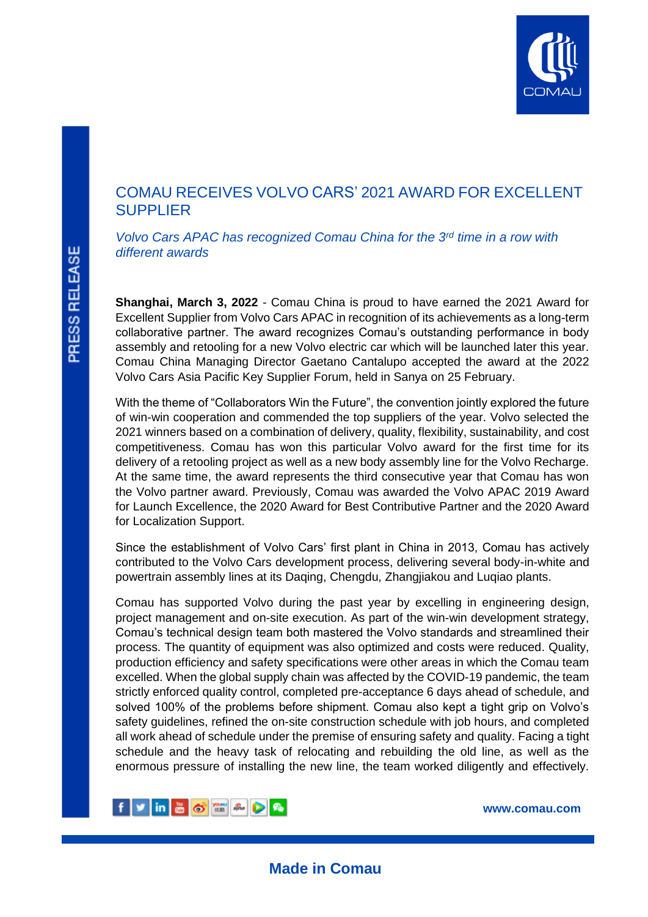

## COMAU RECEIVES VOLVO CARS' 2021 AWARD FOR EXCELLENT **SUPPLIER**

*Volvo Cars APAC has recognized Comau China for the 3rd time in a row with different awards*

**Shanghai, March 3, 2022** - Comau China is proud to have earned the 2021 Award for Excellent Supplier from Volvo Cars APAC in recognition of its achievements as a long-term collaborative partner. The award recognizes Comau's outstanding performance in body assembly and retooling for a new Volvo electric car which will be launched later this year. Comau China Managing Director Gaetano Cantalupo accepted the award at the 2022 Volvo Cars Asia Pacific Key Supplier Forum, held in Sanya on 25 February.

With the theme of "Collaborators Win the Future", the convention jointly explored the future of win-win cooperation and commended the top suppliers of the year. Volvo selected the 2021 winners based on a combination of delivery, quality, flexibility, sustainability, and cost competitiveness. Comau has won this particular Volvo award for the first time for its delivery of a retooling project as well as a new body assembly line for the Volvo Recharge. At the same time, the award represents the third consecutive year that Comau has won the Volvo partner award. Previously, Comau was awarded the Volvo APAC 2019 Award for Launch Excellence, the 2020 Award for Best Contributive Partner and the 2020 Award for Localization Support.

Since the establishment of Volvo Cars' first plant in China in 2013, Comau has actively contributed to the Volvo Cars development process, delivering several body-in-white and powertrain assembly lines at its Daqing, Chengdu, Zhangjiakou and Luqiao plants.

Comau has supported Volvo during the past year by excelling in engineering design, project management and on-site execution. As part of the win-win development strategy, Comau's technical design team both mastered the Volvo standards and streamlined their process. The quantity of equipment was also optimized and costs were reduced. Quality, production efficiency and safety specifications were other areas in which the Comau team excelled. When the global supply chain was affected by the COVID-19 pandemic, the team strictly enforced quality control, completed pre-acceptance 6 days ahead of schedule, and solved 100% of the problems before shipment. Comau also kept a tight grip on Volvo's safety guidelines, refined the on-site construction schedule with job hours, and completed all work ahead of schedule under the premise of ensuring safety and quality. Facing a tight schedule and the heavy task of relocating and rebuilding the old line, as well as the enormous pressure of installing the new line, the team worked diligently and effectively.



**www.comau.com**

L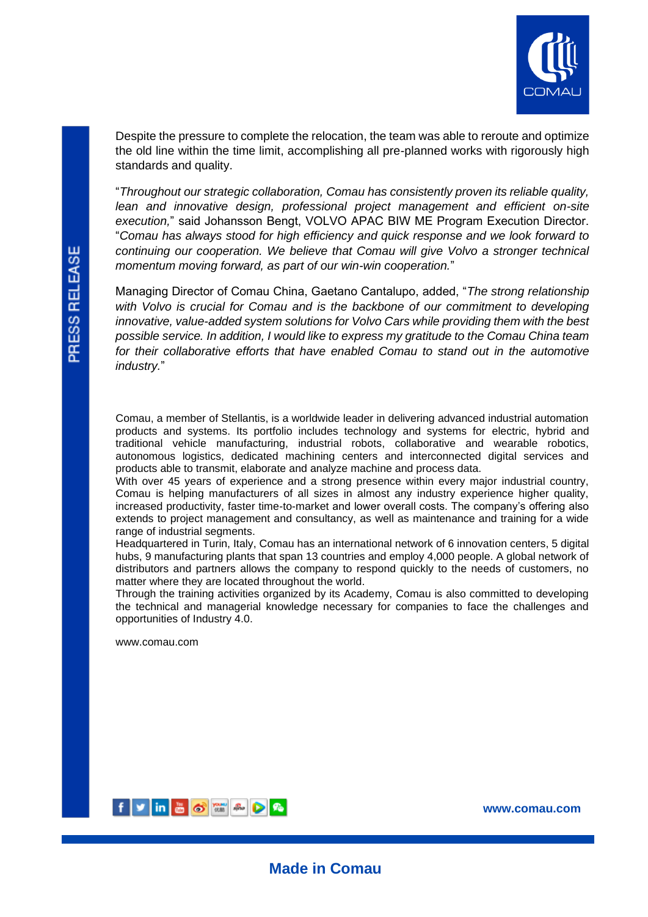

Despite the pressure to complete the relocation, the team was able to reroute and optimize the old line within the time limit, accomplishing all pre-planned works with rigorously high standards and quality.

"*Throughout our strategic collaboration, Comau has consistently proven its reliable quality,*  lean and innovative design, professional project management and efficient on-site *execution,*" said Johansson Bengt, VOLVO APAC BIW ME Program Execution Director. "*Comau has always stood for high efficiency and quick response and we look forward to continuing our cooperation. We believe that Comau will give Volvo a stronger technical momentum moving forward, as part of our win-win cooperation.*"

Managing Director of Comau China, Gaetano Cantalupo, added, "*The strong relationship with Volvo is crucial for Comau and is the backbone of our commitment to developing innovative, value-added system solutions for Volvo Cars while providing them with the best possible service. In addition, I would like to express my gratitude to the Comau China team for their collaborative efforts that have enabled Comau to stand out in the automotive industry.*"

Comau, a member of Stellantis, is a worldwide leader in delivering advanced industrial automation products and systems. Its portfolio includes technology and systems for electric, hybrid and traditional vehicle manufacturing, industrial robots, collaborative and wearable robotics, autonomous logistics, dedicated machining centers and interconnected digital services and products able to transmit, elaborate and analyze machine and process data.

With over 45 years of experience and a strong presence within every major industrial country, Comau is helping manufacturers of all sizes in almost any industry experience higher quality, increased productivity, faster time-to-market and lower overall costs. The company's offering also extends to project management and consultancy, as well as maintenance and training for a wide range of industrial segments.

Headquartered in Turin, Italy, Comau has an international network of 6 innovation centers, 5 digital hubs, 9 manufacturing plants that span 13 countries and employ 4,000 people. A global network of distributors and partners allows the company to respond quickly to the needs of customers, no matter where they are located throughout the world.

Through the training activities organized by its Academy, Comau is also committed to developing the technical and managerial knowledge necessary for companies to face the challenges and opportunities of Industry 4.0.

**Made in Comau**

[www.comau.com](http://www.comau.com/)



**www.comau.com**

L